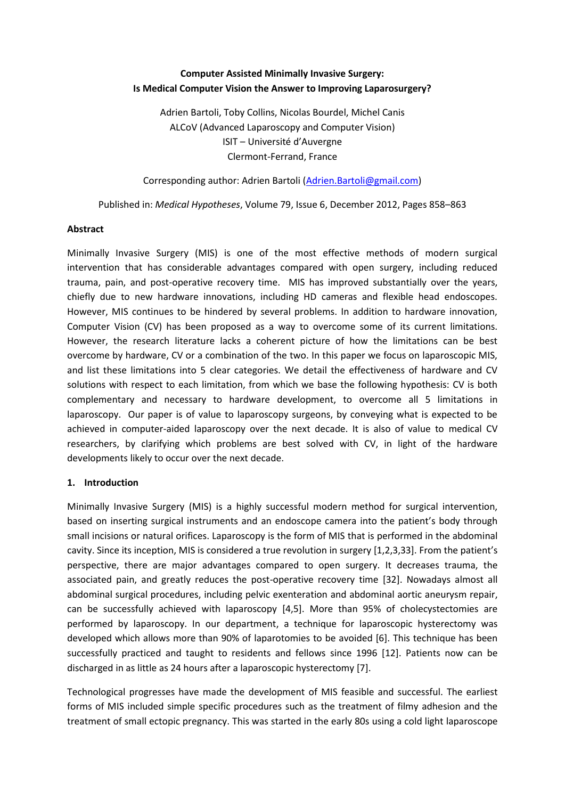# **Computer Assisted Minimally Invasive Surgery: Is Medical Computer Vision the Answer to Improving Laparosurgery?**

Adrien Bartoli, Toby Collins, Nicolas Bourdel, Michel Canis ALCoV (Advanced Laparoscopy and Computer Vision) ISIT – Université d'Auvergne Clermont-Ferrand, France

Corresponding author: Adrien Bartoli [\(Adrien.Bartoli@gmail.com\)](mailto:Adrien.Bartoli@gmail.com)

Published in: *[Medical Hypotheses](http://www.sciencedirect.com/science/journal/03069877)*[, Volume 79, Issue 6,](http://www.sciencedirect.com/science/journal/03069877/79/6) December 2012, Pages 858–863

### **Abstract**

Minimally Invasive Surgery (MIS) is one of the most effective methods of modern surgical intervention that has considerable advantages compared with open surgery, including reduced trauma, pain, and post-operative recovery time. MIS has improved substantially over the years, chiefly due to new hardware innovations, including HD cameras and flexible head endoscopes. However, MIS continues to be hindered by several problems. In addition to hardware innovation, Computer Vision (CV) has been proposed as a way to overcome some of its current limitations. However, the research literature lacks a coherent picture of how the limitations can be best overcome by hardware, CV or a combination of the two. In this paper we focus on laparoscopic MIS, and list these limitations into 5 clear categories. We detail the effectiveness of hardware and CV solutions with respect to each limitation, from which we base the following hypothesis: CV is both complementary and necessary to hardware development, to overcome all 5 limitations in laparoscopy. Our paper is of value to laparoscopy surgeons, by conveying what is expected to be achieved in computer-aided laparoscopy over the next decade. It is also of value to medical CV researchers, by clarifying which problems are best solved with CV, in light of the hardware developments likely to occur over the next decade.

## **1. Introduction**

Minimally Invasive Surgery (MIS) is a highly successful modern method for surgical intervention, based on inserting surgical instruments and an endoscope camera into the patient's body through small incisions or natural orifices. Laparoscopy is the form of MIS that is performed in the abdominal cavity. Since its inception, MIS is considered a true revolution in surgery [1,2,3,33]. From the patient's perspective, there are major advantages compared to open surgery. It decreases trauma, the associated pain, and greatly reduces the post-operative recovery time [32]. Nowadays almost all abdominal surgical procedures, including pelvic exenteration and abdominal aortic aneurysm repair, can be successfully achieved with laparoscopy [4,5]. More than 95% of cholecystectomies are performed by laparoscopy. In our department, a technique for laparoscopic hysterectomy was developed which allows more than 90% of laparotomies to be avoided [6]. This technique has been successfully practiced and taught to residents and fellows since 1996 [12]. Patients now can be discharged in as little as 24 hours after a laparoscopic hysterectomy [7].

Technological progresses have made the development of MIS feasible and successful. The earliest forms of MIS included simple specific procedures such as the treatment of filmy adhesion and the treatment of small ectopic pregnancy. This was started in the early 80s using a cold light laparoscope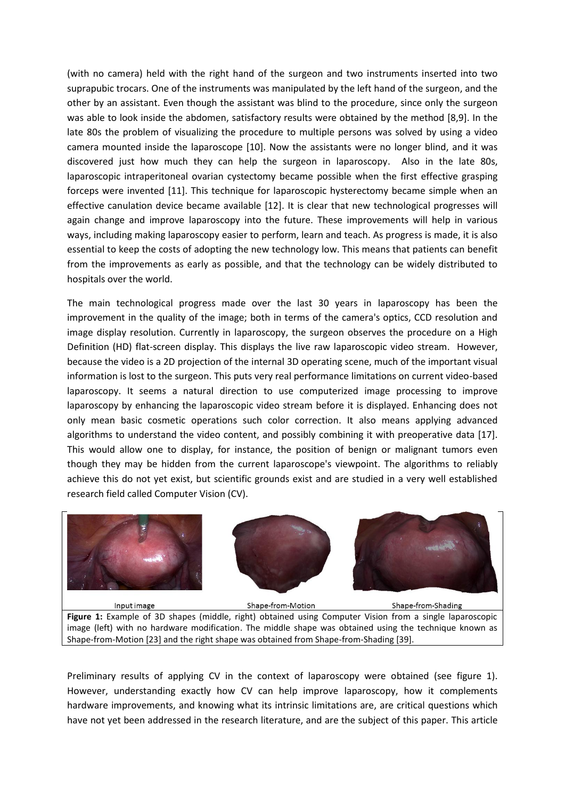(with no camera) held with the right hand of the surgeon and two instruments inserted into two suprapubic trocars. One of the instruments was manipulated by the left hand of the surgeon, and the other by an assistant. Even though the assistant was blind to the procedure, since only the surgeon was able to look inside the abdomen, satisfactory results were obtained by the method [8,9]. In the late 80s the problem of visualizing the procedure to multiple persons was solved by using a video camera mounted inside the laparoscope [10]. Now the assistants were no longer blind, and it was discovered just how much they can help the surgeon in laparoscopy. Also in the late 80s, laparoscopic intraperitoneal ovarian cystectomy became possible when the first effective grasping forceps were invented [11]. This technique for laparoscopic hysterectomy became simple when an effective canulation device became available [12]. It is clear that new technological progresses will again change and improve laparoscopy into the future. These improvements will help in various ways, including making laparoscopy easier to perform, learn and teach. As progress is made, it is also essential to keep the costs of adopting the new technology low. This means that patients can benefit from the improvements as early as possible, and that the technology can be widely distributed to hospitals over the world.

The main technological progress made over the last 30 years in laparoscopy has been the improvement in the quality of the image; both in terms of the camera's optics, CCD resolution and image display resolution. Currently in laparoscopy, the surgeon observes the procedure on a High Definition (HD) flat-screen display. This displays the live raw laparoscopic video stream. However, because the video is a 2D projection of the internal 3D operating scene, much of the important visual information is lost to the surgeon. This puts very real performance limitations on current video-based laparoscopy. It seems a natural direction to use computerized image processing to improve laparoscopy by enhancing the laparoscopic video stream before it is displayed. Enhancing does not only mean basic cosmetic operations such color correction. It also means applying advanced algorithms to understand the video content, and possibly combining it with preoperative data [17]. This would allow one to display, for instance, the position of benign or malignant tumors even though they may be hidden from the current laparoscope's viewpoint. The algorithms to reliably achieve this do not yet exist, but scientific grounds exist and are studied in a very well established research field called Computer Vision (CV).



image (left) with no hardware modification. The middle shape was obtained using the technique known as Shape-from-Motion [23] and the right shape was obtained from Shape-from-Shading [39].

Preliminary results of applying CV in the context of laparoscopy were obtained (see figure 1). However, understanding exactly how CV can help improve laparoscopy, how it complements hardware improvements, and knowing what its intrinsic limitations are, are critical questions which have not yet been addressed in the research literature, and are the subject of this paper. This article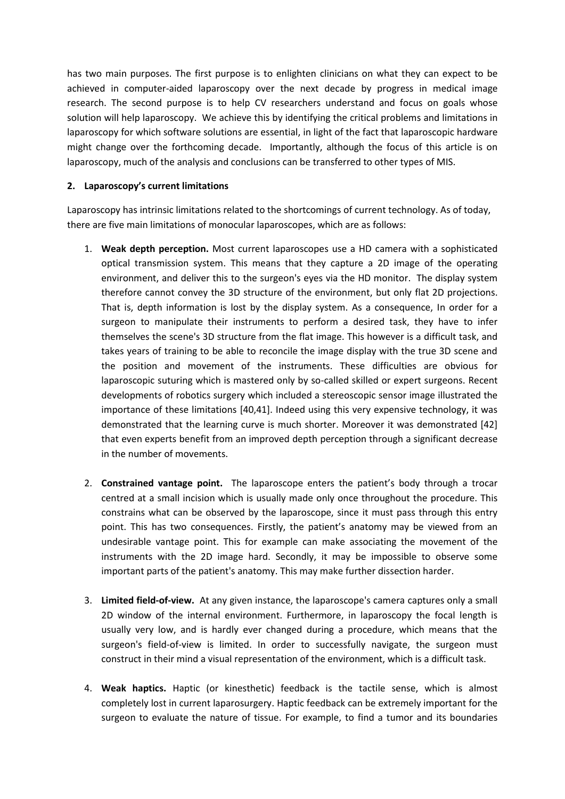has two main purposes. The first purpose is to enlighten clinicians on what they can expect to be achieved in computer-aided laparoscopy over the next decade by progress in medical image research. The second purpose is to help CV researchers understand and focus on goals whose solution will help laparoscopy. We achieve this by identifying the critical problems and limitations in laparoscopy for which software solutions are essential, in light of the fact that laparoscopic hardware might change over the forthcoming decade. Importantly, although the focus of this article is on laparoscopy, much of the analysis and conclusions can be transferred to other types of MIS.

## **2. Laparoscopy's current limitations**

Laparoscopy has intrinsic limitations related to the shortcomings of current technology. As of today, there are five main limitations of monocular laparoscopes, which are as follows:

- 1. **Weak depth perception.** Most current laparoscopes use a HD camera with a sophisticated optical transmission system. This means that they capture a 2D image of the operating environment, and deliver this to the surgeon's eyes via the HD monitor. The display system therefore cannot convey the 3D structure of the environment, but only flat 2D projections. That is, depth information is lost by the display system. As a consequence, In order for a surgeon to manipulate their instruments to perform a desired task, they have to infer themselves the scene's 3D structure from the flat image. This however is a difficult task, and takes years of training to be able to reconcile the image display with the true 3D scene and the position and movement of the instruments. These difficulties are obvious for laparoscopic suturing which is mastered only by so-called skilled or expert surgeons. Recent developments of robotics surgery which included a stereoscopic sensor image illustrated the importance of these limitations [40,41]. Indeed using this very expensive technology, it was demonstrated that the learning curve is much shorter. Moreover it was demonstrated [42] that even experts benefit from an improved depth perception through a significant decrease in the number of movements.
- 2. **Constrained vantage point.** The laparoscope enters the patient's body through a trocar centred at a small incision which is usually made only once throughout the procedure. This constrains what can be observed by the laparoscope, since it must pass through this entry point. This has two consequences. Firstly, the patient's anatomy may be viewed from an undesirable vantage point. This for example can make associating the movement of the instruments with the 2D image hard. Secondly, it may be impossible to observe some important parts of the patient's anatomy. This may make further dissection harder.
- 3. **Limited field-of-view.** At any given instance, the laparoscope's camera captures only a small 2D window of the internal environment. Furthermore, in laparoscopy the focal length is usually very low, and is hardly ever changed during a procedure, which means that the surgeon's field-of-view is limited. In order to successfully navigate, the surgeon must construct in their mind a visual representation of the environment, which is a difficult task.
- 4. **Weak haptics.** Haptic (or kinesthetic) feedback is the tactile sense, which is almost completely lost in current laparosurgery. Haptic feedback can be extremely important for the surgeon to evaluate the nature of tissue. For example, to find a tumor and its boundaries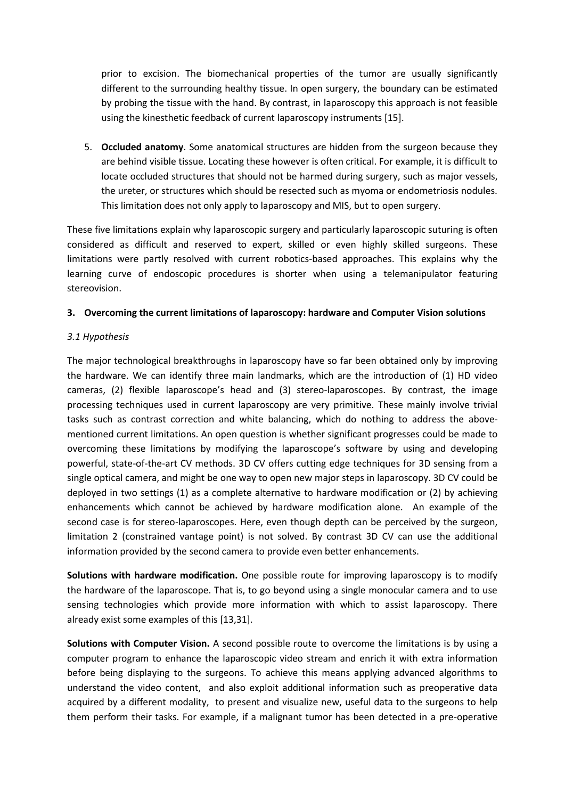prior to excision. The biomechanical properties of the tumor are usually significantly different to the surrounding healthy tissue. In open surgery, the boundary can be estimated by probing the tissue with the hand. By contrast, in laparoscopy this approach is not feasible using the kinesthetic feedback of current laparoscopy instruments [15].

5. **Occluded anatomy**. Some anatomical structures are hidden from the surgeon because they are behind visible tissue. Locating these however is often critical. For example, it is difficult to locate occluded structures that should not be harmed during surgery, such as major vessels, the ureter, or structures which should be resected such as myoma or endometriosis nodules. This limitation does not only apply to laparoscopy and MIS, but to open surgery.

These five limitations explain why laparoscopic surgery and particularly laparoscopic suturing is often considered as difficult and reserved to expert, skilled or even highly skilled surgeons. These limitations were partly resolved with current robotics-based approaches. This explains why the learning curve of endoscopic procedures is shorter when using a telemanipulator featuring stereovision.

### **3. Overcoming the current limitations of laparoscopy: hardware and Computer Vision solutions**

### *3.1 Hypothesis*

The major technological breakthroughs in laparoscopy have so far been obtained only by improving the hardware. We can identify three main landmarks, which are the introduction of (1) HD video cameras, (2) flexible laparoscope's head and (3) stereo-laparoscopes. By contrast, the image processing techniques used in current laparoscopy are very primitive. These mainly involve trivial tasks such as contrast correction and white balancing, which do nothing to address the abovementioned current limitations. An open question is whether significant progresses could be made to overcoming these limitations by modifying the laparoscope's software by using and developing powerful, state-of-the-art CV methods. 3D CV offers cutting edge techniques for 3D sensing from a single optical camera, and might be one way to open new major steps in laparoscopy. 3D CV could be deployed in two settings (1) as a complete alternative to hardware modification or (2) by achieving enhancements which cannot be achieved by hardware modification alone. An example of the second case is for stereo-laparoscopes. Here, even though depth can be perceived by the surgeon, limitation 2 (constrained vantage point) is not solved. By contrast 3D CV can use the additional information provided by the second camera to provide even better enhancements.

**Solutions with hardware modification.** One possible route for improving laparoscopy is to modify the hardware of the laparoscope. That is, to go beyond using a single monocular camera and to use sensing technologies which provide more information with which to assist laparoscopy. There already exist some examples of this [13,31].

**Solutions with Computer Vision.** A second possible route to overcome the limitations is by using a computer program to enhance the laparoscopic video stream and enrich it with extra information before being displaying to the surgeons. To achieve this means applying advanced algorithms to understand the video content, and also exploit additional information such as preoperative data acquired by a different modality, to present and visualize new, useful data to the surgeons to help them perform their tasks. For example, if a malignant tumor has been detected in a pre-operative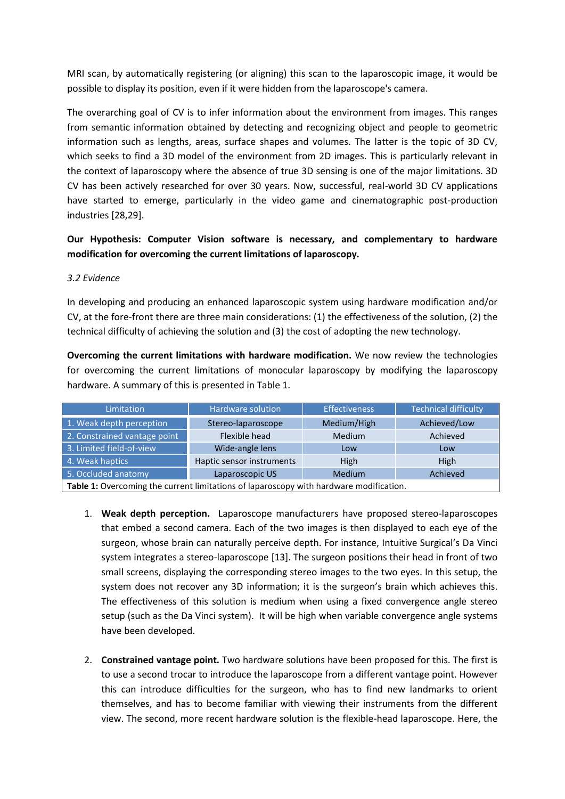MRI scan, by automatically registering (or aligning) this scan to the laparoscopic image, it would be possible to display its position, even if it were hidden from the laparoscope's camera.

The overarching goal of CV is to infer information about the environment from images. This ranges from semantic information obtained by detecting and recognizing object and people to geometric information such as lengths, areas, surface shapes and volumes. The latter is the topic of 3D CV, which seeks to find a 3D model of the environment from 2D images. This is particularly relevant in the context of laparoscopy where the absence of true 3D sensing is one of the major limitations. 3D CV has been actively researched for over 30 years. Now, successful, real-world 3D CV applications have started to emerge, particularly in the video game and cinematographic post-production industries [28,29].

**Our Hypothesis: Computer Vision software is necessary, and complementary to hardware modification for overcoming the current limitations of laparoscopy.**

### *3.2 Evidence*

In developing and producing an enhanced laparoscopic system using hardware modification and/or CV, at the fore-front there are three main considerations: (1) the effectiveness of the solution, (2) the technical difficulty of achieving the solution and (3) the cost of adopting the new technology.

**Overcoming the current limitations with hardware modification.** We now review the technologies for overcoming the current limitations of monocular laparoscopy by modifying the laparoscopy hardware. A summary of this is presented in Table 1.

| Limitation                                                                                          | Hardware solution         | <b>Effectiveness</b> | <b>Technical difficulty</b> |  |
|-----------------------------------------------------------------------------------------------------|---------------------------|----------------------|-----------------------------|--|
| 1. Weak depth perception                                                                            | Stereo-laparoscope        | Medium/High          | Achieved/Low                |  |
| 2. Constrained vantage point                                                                        | Flexible head             | <b>Medium</b>        | Achieved                    |  |
| 3. Limited field-of-view                                                                            | Wide-angle lens           | Low                  | Low                         |  |
| 4. Weak haptics                                                                                     | Haptic sensor instruments | High                 | <b>High</b>                 |  |
| 5. Occluded anatomy                                                                                 | Laparoscopic US           | Medium               | Achieved                    |  |
| Weblie 4 ε Αποστολογία στη Στουργανία Βαγλεπλούς τα βιολογια στουργανία Γιανολιτσία του αλλά σελλού |                           |                      |                             |  |

**Table 1:** Overcoming the current limitations of laparoscopy with hardware modification.

- 1. **Weak depth perception.** Laparoscope manufacturers have proposed stereo-laparoscopes that embed a second camera. Each of the two images is then displayed to each eye of the surgeon, whose brain can naturally perceive depth. For instance, Intuitive Surgical's Da Vinci system integrates a stereo-laparoscope [13]. The surgeon positions their head in front of two small screens, displaying the corresponding stereo images to the two eyes. In this setup, the system does not recover any 3D information; it is the surgeon's brain which achieves this. The effectiveness of this solution is medium when using a fixed convergence angle stereo setup (such as the Da Vinci system). It will be high when variable convergence angle systems have been developed.
- 2. **Constrained vantage point.** Two hardware solutions have been proposed for this. The first is to use a second trocar to introduce the laparoscope from a different vantage point. However this can introduce difficulties for the surgeon, who has to find new landmarks to orient themselves, and has to become familiar with viewing their instruments from the different view. The second, more recent hardware solution is the flexible-head laparoscope. Here, the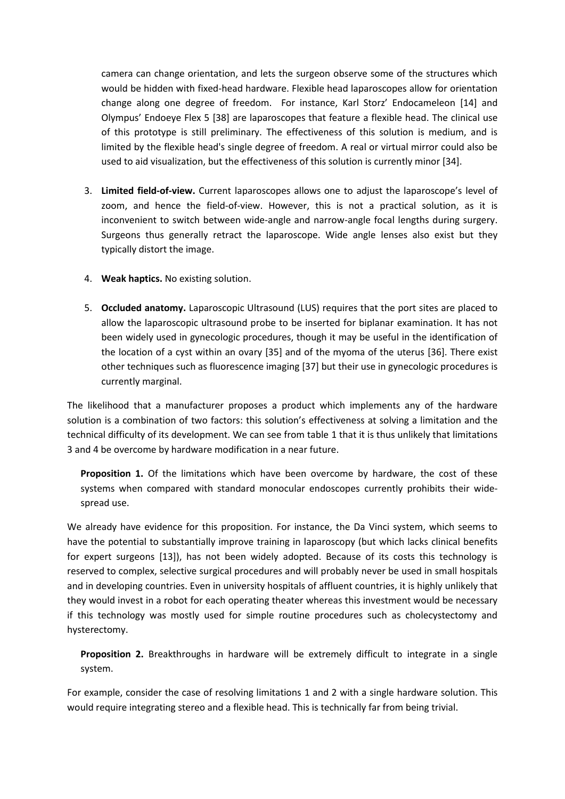camera can change orientation, and lets the surgeon observe some of the structures which would be hidden with fixed-head hardware. Flexible head laparoscopes allow for orientation change along one degree of freedom. For instance, Karl Storz' Endocameleon [14] and Olympus' Endoeye Flex 5 [38] are laparoscopes that feature a flexible head. The clinical use of this prototype is still preliminary. The effectiveness of this solution is medium, and is limited by the flexible head's single degree of freedom. A real or virtual mirror could also be used to aid visualization, but the effectiveness of this solution is currently minor [34].

- 3. **Limited field-of-view.** Current laparoscopes allows one to adjust the laparoscope's level of zoom, and hence the field-of-view. However, this is not a practical solution, as it is inconvenient to switch between wide-angle and narrow-angle focal lengths during surgery. Surgeons thus generally retract the laparoscope. Wide angle lenses also exist but they typically distort the image.
- 4. **Weak haptics.** No existing solution.
- 5. **Occluded anatomy.** Laparoscopic Ultrasound (LUS) requires that the port sites are placed to allow the laparoscopic ultrasound probe to be inserted for biplanar examination. It has not been widely used in gynecologic procedures, though it may be useful in the identification of the location of a cyst within an ovary [35] and of the myoma of the uterus [36]. There exist other techniques such as fluorescence imaging [37] but their use in gynecologic procedures is currently marginal.

The likelihood that a manufacturer proposes a product which implements any of the hardware solution is a combination of two factors: this solution's effectiveness at solving a limitation and the technical difficulty of its development. We can see from table 1 that it is thus unlikely that limitations 3 and 4 be overcome by hardware modification in a near future.

**Proposition 1.** Of the limitations which have been overcome by hardware, the cost of these systems when compared with standard monocular endoscopes currently prohibits their widespread use.

We already have evidence for this proposition. For instance, the Da Vinci system, which seems to have the potential to substantially improve training in laparoscopy (but which lacks clinical benefits for expert surgeons [13]), has not been widely adopted. Because of its costs this technology is reserved to complex, selective surgical procedures and will probably never be used in small hospitals and in developing countries. Even in university hospitals of affluent countries, it is highly unlikely that they would invest in a robot for each operating theater whereas this investment would be necessary if this technology was mostly used for simple routine procedures such as cholecystectomy and hysterectomy.

**Proposition 2.** Breakthroughs in hardware will be extremely difficult to integrate in a single system.

For example, consider the case of resolving limitations 1 and 2 with a single hardware solution. This would require integrating stereo and a flexible head. This is technically far from being trivial.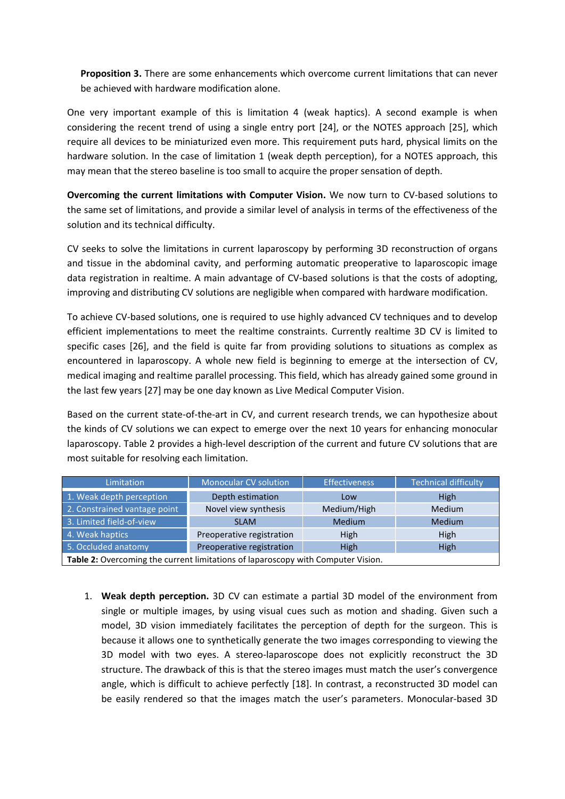**Proposition 3.** There are some enhancements which overcome current limitations that can never be achieved with hardware modification alone.

One very important example of this is limitation 4 (weak haptics). A second example is when considering the recent trend of using a single entry port [24], or the NOTES approach [25], which require all devices to be miniaturized even more. This requirement puts hard, physical limits on the hardware solution. In the case of limitation 1 (weak depth perception), for a NOTES approach, this may mean that the stereo baseline is too small to acquire the proper sensation of depth.

**Overcoming the current limitations with Computer Vision.** We now turn to CV-based solutions to the same set of limitations, and provide a similar level of analysis in terms of the effectiveness of the solution and its technical difficulty.

CV seeks to solve the limitations in current laparoscopy by performing 3D reconstruction of organs and tissue in the abdominal cavity, and performing automatic preoperative to laparoscopic image data registration in realtime. A main advantage of CV-based solutions is that the costs of adopting, improving and distributing CV solutions are negligible when compared with hardware modification.

To achieve CV-based solutions, one is required to use highly advanced CV techniques and to develop efficient implementations to meet the realtime constraints. Currently realtime 3D CV is limited to specific cases [26], and the field is quite far from providing solutions to situations as complex as encountered in laparoscopy. A whole new field is beginning to emerge at the intersection of CV, medical imaging and realtime parallel processing. This field, which has already gained some ground in the last few years [27] may be one day known as Live Medical Computer Vision.

Based on the current state-of-the-art in CV, and current research trends, we can hypothesize about the kinds of CV solutions we can expect to emerge over the next 10 years for enhancing monocular laparoscopy. Table 2 provides a high-level description of the current and future CV solutions that are most suitable for resolving each limitation.

| Limitation                                                                      | <b>Monocular CV solution</b> | <b>Effectiveness</b> | <b>Technical difficulty</b> |  |
|---------------------------------------------------------------------------------|------------------------------|----------------------|-----------------------------|--|
| 1. Weak depth perception                                                        | Depth estimation             | Low                  | <b>High</b>                 |  |
| 2. Constrained vantage point                                                    | Novel view synthesis         | Medium/High          | <b>Medium</b>               |  |
| 3. Limited field-of-view                                                        | <b>SLAM</b>                  | <b>Medium</b>        | <b>Medium</b>               |  |
| 4. Weak haptics                                                                 | Preoperative registration    | High                 | <b>High</b>                 |  |
| 5. Occluded anatomy                                                             | Preoperative registration    | High                 | <b>High</b>                 |  |
| Table 2: Quercaming the current limitations of langresseny with Camputer Vicion |                              |                      |                             |  |

**Table 2:** Overcoming the current limitations of laparoscopy with Computer Vision.

1. **Weak depth perception.** 3D CV can estimate a partial 3D model of the environment from single or multiple images, by using visual cues such as motion and shading. Given such a model, 3D vision immediately facilitates the perception of depth for the surgeon. This is because it allows one to synthetically generate the two images corresponding to viewing the 3D model with two eyes. A stereo-laparoscope does not explicitly reconstruct the 3D structure. The drawback of this is that the stereo images must match the user's convergence angle, which is difficult to achieve perfectly [18]. In contrast, a reconstructed 3D model can be easily rendered so that the images match the user's parameters. Monocular-based 3D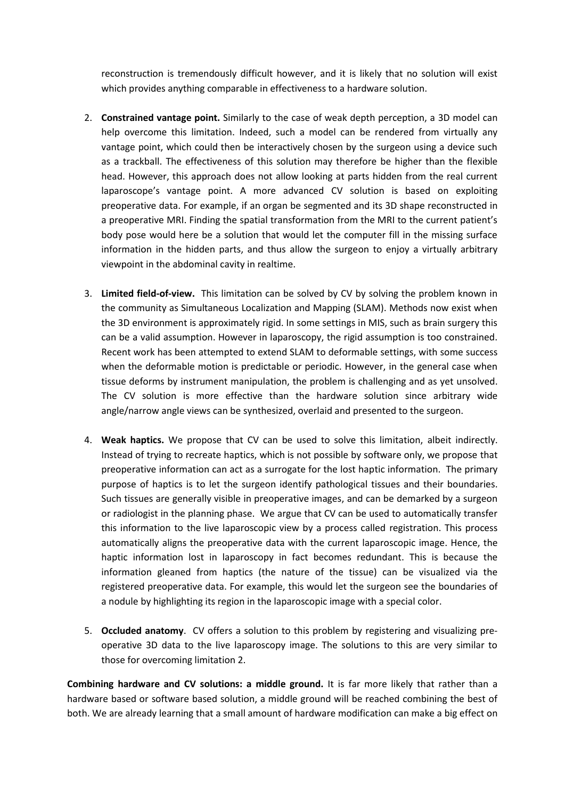reconstruction is tremendously difficult however, and it is likely that no solution will exist which provides anything comparable in effectiveness to a hardware solution.

- 2. **Constrained vantage point.** Similarly to the case of weak depth perception, a 3D model can help overcome this limitation. Indeed, such a model can be rendered from virtually any vantage point, which could then be interactively chosen by the surgeon using a device such as a trackball. The effectiveness of this solution may therefore be higher than the flexible head. However, this approach does not allow looking at parts hidden from the real current laparoscope's vantage point. A more advanced CV solution is based on exploiting preoperative data. For example, if an organ be segmented and its 3D shape reconstructed in a preoperative MRI. Finding the spatial transformation from the MRI to the current patient's body pose would here be a solution that would let the computer fill in the missing surface information in the hidden parts, and thus allow the surgeon to enjoy a virtually arbitrary viewpoint in the abdominal cavity in realtime.
- 3. **Limited field-of-view.** This limitation can be solved by CV by solving the problem known in the community as Simultaneous Localization and Mapping (SLAM). Methods now exist when the 3D environment is approximately rigid. In some settings in MIS, such as brain surgery this can be a valid assumption. However in laparoscopy, the rigid assumption is too constrained. Recent work has been attempted to extend SLAM to deformable settings, with some success when the deformable motion is predictable or periodic. However, in the general case when tissue deforms by instrument manipulation, the problem is challenging and as yet unsolved. The CV solution is more effective than the hardware solution since arbitrary wide angle/narrow angle views can be synthesized, overlaid and presented to the surgeon.
- 4. **Weak haptics.** We propose that CV can be used to solve this limitation, albeit indirectly. Instead of trying to recreate haptics, which is not possible by software only, we propose that preoperative information can act as a surrogate for the lost haptic information. The primary purpose of haptics is to let the surgeon identify pathological tissues and their boundaries. Such tissues are generally visible in preoperative images, and can be demarked by a surgeon or radiologist in the planning phase. We argue that CV can be used to automatically transfer this information to the live laparoscopic view by a process called registration. This process automatically aligns the preoperative data with the current laparoscopic image. Hence, the haptic information lost in laparoscopy in fact becomes redundant. This is because the information gleaned from haptics (the nature of the tissue) can be visualized via the registered preoperative data. For example, this would let the surgeon see the boundaries of a nodule by highlighting its region in the laparoscopic image with a special color.
- 5. **Occluded anatomy**. CV offers a solution to this problem by registering and visualizing preoperative 3D data to the live laparoscopy image. The solutions to this are very similar to those for overcoming limitation 2.

**Combining hardware and CV solutions: a middle ground.** It is far more likely that rather than a hardware based or software based solution, a middle ground will be reached combining the best of both. We are already learning that a small amount of hardware modification can make a big effect on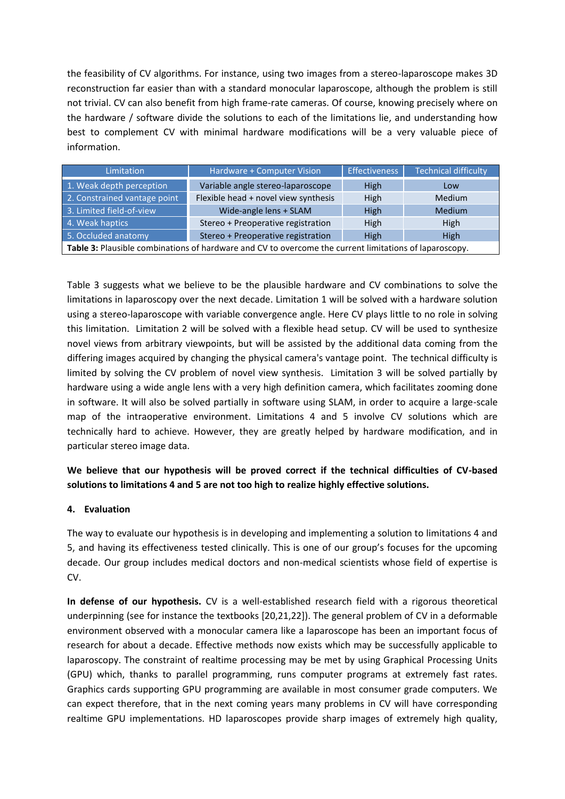the feasibility of CV algorithms. For instance, using two images from a stereo-laparoscope makes 3D reconstruction far easier than with a standard monocular laparoscope, although the problem is still not trivial. CV can also benefit from high frame-rate cameras. Of course, knowing precisely where on the hardware / software divide the solutions to each of the limitations lie, and understanding how best to complement CV with minimal hardware modifications will be a very valuable piece of information.

| Limitation                                                                                             | Hardware + Computer Vision           | <b>Effectiveness</b> | <b>Technical difficulty</b> |  |  |
|--------------------------------------------------------------------------------------------------------|--------------------------------------|----------------------|-----------------------------|--|--|
| 1. Weak depth perception                                                                               | Variable angle stereo-laparoscope    | High                 | Low                         |  |  |
| 2. Constrained vantage point                                                                           | Flexible head + novel view synthesis | <b>High</b>          | Medium                      |  |  |
| 3. Limited field-of-view                                                                               | Wide-angle lens + SLAM               | High                 | <b>Medium</b>               |  |  |
| 4. Weak haptics                                                                                        | Stereo + Preoperative registration   | High                 | High                        |  |  |
| 5. Occluded anatomy                                                                                    | Stereo + Preoperative registration   | High                 | High                        |  |  |
| Table 3: Plausible combinations of hardware and CV to overcome the current limitations of laparoscopy. |                                      |                      |                             |  |  |

Table 3 suggests what we believe to be the plausible hardware and CV combinations to solve the limitations in laparoscopy over the next decade. Limitation 1 will be solved with a hardware solution using a stereo-laparoscope with variable convergence angle. Here CV plays little to no role in solving this limitation. Limitation 2 will be solved with a flexible head setup. CV will be used to synthesize novel views from arbitrary viewpoints, but will be assisted by the additional data coming from the differing images acquired by changing the physical camera's vantage point. The technical difficulty is limited by solving the CV problem of novel view synthesis. Limitation 3 will be solved partially by hardware using a wide angle lens with a very high definition camera, which facilitates zooming done in software. It will also be solved partially in software using SLAM, in order to acquire a large-scale map of the intraoperative environment. Limitations 4 and 5 involve CV solutions which are technically hard to achieve. However, they are greatly helped by hardware modification, and in particular stereo image data.

**We believe that our hypothesis will be proved correct if the technical difficulties of CV-based solutions to limitations 4 and 5 are not too high to realize highly effective solutions.**

## **4. Evaluation**

The way to evaluate our hypothesis is in developing and implementing a solution to limitations 4 and 5, and having its effectiveness tested clinically. This is one of our group's focuses for the upcoming decade. Our group includes medical doctors and non-medical scientists whose field of expertise is CV.

**In defense of our hypothesis.** CV is a well-established research field with a rigorous theoretical underpinning (see for instance the textbooks [20,21,22]). The general problem of CV in a deformable environment observed with a monocular camera like a laparoscope has been an important focus of research for about a decade. Effective methods now exists which may be successfully applicable to laparoscopy. The constraint of realtime processing may be met by using Graphical Processing Units (GPU) which, thanks to parallel programming, runs computer programs at extremely fast rates. Graphics cards supporting GPU programming are available in most consumer grade computers. We can expect therefore, that in the next coming years many problems in CV will have corresponding realtime GPU implementations. HD laparoscopes provide sharp images of extremely high quality,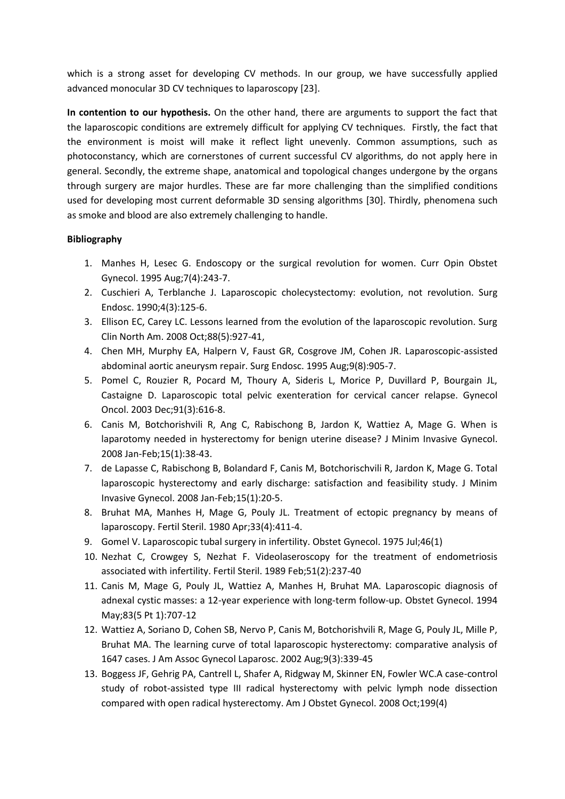which is a strong asset for developing CV methods. In our group, we have successfully applied advanced monocular 3D CV techniques to laparoscopy [23].

**In contention to our hypothesis.** On the other hand, there are arguments to support the fact that the laparoscopic conditions are extremely difficult for applying CV techniques. Firstly, the fact that the environment is moist will make it reflect light unevenly. Common assumptions, such as photoconstancy, which are cornerstones of current successful CV algorithms, do not apply here in general. Secondly, the extreme shape, anatomical and topological changes undergone by the organs through surgery are major hurdles. These are far more challenging than the simplified conditions used for developing most current deformable 3D sensing algorithms [30]. Thirdly, phenomena such as smoke and blood are also extremely challenging to handle.

### **Bibliography**

- 1. Manhes H, Lesec G. Endoscopy or the surgical revolution for women. Curr Opin Obstet Gynecol. 1995 Aug;7(4):243-7.
- 2. Cuschieri A, Terblanche J. Laparoscopic cholecystectomy: evolution, not revolution. Surg Endosc. 1990;4(3):125-6.
- 3. Ellison EC, Carey LC. Lessons learned from the evolution of the laparoscopic revolution. Surg Clin North Am. 2008 Oct;88(5):927-41,
- 4. Chen MH, Murphy EA, Halpern V, Faust GR, Cosgrove JM, Cohen JR. Laparoscopic-assisted abdominal aortic aneurysm repair. Surg Endosc. 1995 Aug;9(8):905-7.
- 5. Pomel C, Rouzier R, Pocard M, Thoury A, Sideris L, Morice P, Duvillard P, Bourgain JL, Castaigne D. Laparoscopic total pelvic exenteration for cervical cancer relapse. Gynecol Oncol. 2003 Dec;91(3):616-8.
- 6. Canis M, Botchorishvili R, Ang C, Rabischong B, Jardon K, Wattiez A, Mage G. When is laparotomy needed in hysterectomy for benign uterine disease? J Minim Invasive Gynecol. 2008 Jan-Feb;15(1):38-43.
- 7. de Lapasse C, Rabischong B, Bolandard F, Canis M, Botchorischvili R, Jardon K, Mage G. Total laparoscopic hysterectomy and early discharge: satisfaction and feasibility study. J Minim Invasive Gynecol. 2008 Jan-Feb;15(1):20-5.
- 8. Bruhat MA, Manhes H, Mage G, Pouly JL. Treatment of ectopic pregnancy by means of laparoscopy. Fertil Steril. 1980 Apr;33(4):411-4.
- 9. Gomel V. Laparoscopic tubal surgery in infertility. Obstet Gynecol. 1975 Jul;46(1)
- 10. Nezhat C, Crowgey S, Nezhat F. Videolaseroscopy for the treatment of endometriosis associated with infertility. Fertil Steril. 1989 Feb;51(2):237-40
- 11. Canis M, Mage G, Pouly JL, Wattiez A, Manhes H, Bruhat MA. Laparoscopic diagnosis of adnexal cystic masses: a 12-year experience with long-term follow-up. Obstet Gynecol. 1994 May;83(5 Pt 1):707-12
- 12. Wattiez A, Soriano D, Cohen SB, Nervo P, Canis M, Botchorishvili R, Mage G, Pouly JL, Mille P, Bruhat MA. The learning curve of total laparoscopic hysterectomy: comparative analysis of 1647 cases. J Am Assoc Gynecol Laparosc. 2002 Aug;9(3):339-45
- 13. Boggess JF, Gehrig PA, Cantrell L, Shafer A, Ridgway M, Skinner EN, Fowler WC.A case-control study of robot-assisted type III radical hysterectomy with pelvic lymph node dissection compared with open radical hysterectomy. Am J Obstet Gynecol. 2008 Oct;199(4)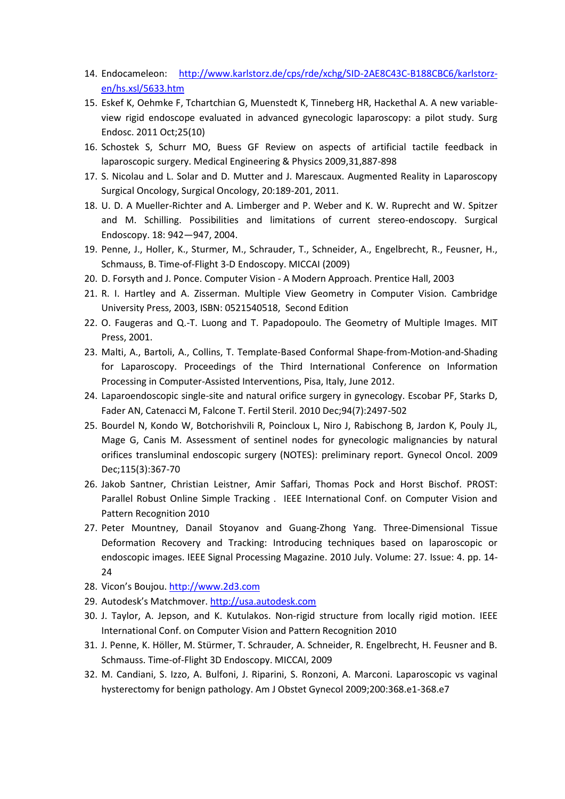- 14. Endocameleon: [http://www.karlstorz.de/cps/rde/xchg/SID-2AE8C43C-B188CBC6/karlstorz](http://www.karlstorz.de/cps/rde/xchg/SID-2AE8C43C-B188CBC6/karlstorz-en/hs.xsl/5633.htm)[en/hs.xsl/5633.htm](http://www.karlstorz.de/cps/rde/xchg/SID-2AE8C43C-B188CBC6/karlstorz-en/hs.xsl/5633.htm)
- 15. Eskef K, Oehmke F, Tchartchian G, Muenstedt K, Tinneberg HR, Hackethal A. A new variableview rigid endoscope evaluated in advanced gynecologic laparoscopy: a pilot study. Surg Endosc. 2011 Oct;25(10)
- 16. Schostek S, Schurr MO, Buess GF Review on aspects of artificial tactile feedback in laparoscopic surgery. Medical Engineering & Physics 2009,31,887-898
- 17. S. Nicolau and L. Solar and D. Mutter and J. Marescaux. Augmented Reality in Laparoscopy Surgical Oncology, Surgical Oncology, 20:189-201, 2011.
- 18. U. D. A Mueller-Richter and A. Limberger and P. Weber and K. W. Ruprecht and W. Spitzer and M. Schilling. Possibilities and limitations of current stereo-endoscopy. Surgical Endoscopy. 18: 942—947, 2004.
- 19. Penne, J., Holler, K., Sturmer, M., Schrauder, T., Schneider, A., Engelbrecht, R., Feusner, H., Schmauss, B. Time-of-Flight 3-D Endoscopy. MICCAI (2009)
- 20. D. Forsyth and J. Ponce. Computer Vision A Modern Approach. Prentice Hall, 2003
- 21. R. I. Hartley and A. Zisserman. Multiple View Geometry in Computer Vision. Cambridge University Press, 2003, ISBN: 0521540518, Second Edition
- 22. O. Faugeras and Q.-T. Luong and T. Papadopoulo. The Geometry of Multiple Images. MIT Press, 2001.
- 23. Malti, A., Bartoli, A., Collins, T. Template-Based Conformal Shape-from-Motion-and-Shading for Laparoscopy. Proceedings of the Third International Conference on Information Processing in Computer-Assisted Interventions, Pisa, Italy, June 2012.
- 24. Laparoendoscopic single-site and natural orifice surgery in gynecology. Escobar PF, Starks D, Fader AN, Catenacci M, Falcone T. Fertil Steril. 2010 Dec;94(7):2497-502
- 25. Bourdel N, Kondo W, Botchorishvili R, Poincloux L, Niro J, Rabischong B, Jardon K, Pouly JL, Mage G, Canis M. Assessment of sentinel nodes for gynecologic malignancies by natural orifices transluminal endoscopic surgery (NOTES): preliminary report. Gynecol Oncol. 2009 Dec;115(3):367-70
- 26. Jakob Santner, Christian Leistner, Amir Saffari, Thomas Pock and Horst Bischof. PROST: Parallel Robust Online Simple Tracking . IEEE International Conf. on Computer Vision and Pattern Recognition 2010
- 27. Peter Mountney, Danail Stoyanov and Guang-Zhong Yang. Three-Dimensional Tissue Deformation Recovery and Tracking: Introducing techniques based on laparoscopic or endoscopic images. IEEE Signal Processing Magazine. 2010 July. Volume: 27. Issue: 4. pp. 14- 24
- 28. Vicon's Boujou. [http://www.2d3.com](http://www.2d3.com/)
- 29. Autodesk's Matchmover. [http://usa.autodesk.com](http://usa.autodesk.com/)
- 30. J. Taylor, A. Jepson, and K. Kutulakos. Non-rigid structure from locally rigid motion. IEEE International Conf. on Computer Vision and Pattern Recognition 2010
- 31. J. Penne, K. Höller, M. Stürmer, T. Schrauder, A. Schneider, R. Engelbrecht, H. Feusner and B. Schmauss. Time-of-Flight 3D Endoscopy. MICCAI, 2009
- 32. M. Candiani, S. Izzo, A. Bulfoni, J. Riparini, S. Ronzoni, A. Marconi. Laparoscopic vs vaginal hysterectomy for benign pathology. Am J Obstet Gynecol 2009;200:368.e1-368.e7